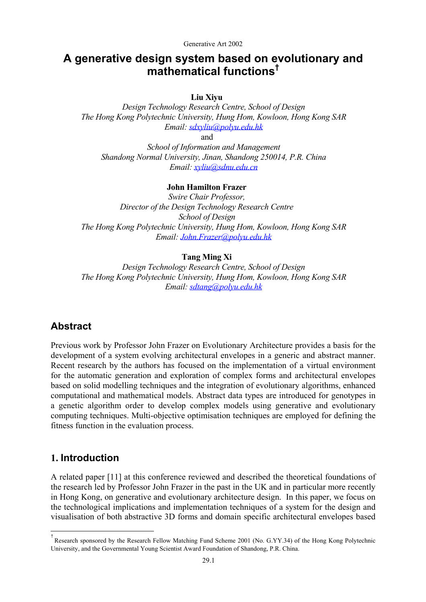# **A generative design system based on evolutionary and mathematical function[s†](#page-0-0)**

**Liu Xiyu** 

*Design Technology Research Centre, School of Design The Hong Kong Polytechnic University, Hung Hom, Kowloon, Hong Kong SAR Email: [sdxyliu@polyu.edu.hk](mailto:sdxyliu@polyu.edu.hk)*

and

*School of Information and Management Shandong Normal University, Jinan, Shandong 250014, P.R. China Email: [xyliu@sdnu.edu.cn](mailto:xyliu@sdnu.edu.cn)*

### **John Hamilton Frazer**

*Swire Chair Professor, Director of the Design Technology Research Centre School of Design The Hong Kong Polytechnic University, Hung Hom, Kowloon, Hong Kong SAR Email: [John.Frazer@polyu.edu.hk](mailto:John.Frazer@polyu.edu.hk)*

### **Tang Ming Xi**

*Design Technology Research Centre, School of Design The Hong Kong Polytechnic University, Hung Hom, Kowloon, Hong Kong SAR Email: [sdtang@polyu.edu.hk](mailto:sdtang@polyu.edu.hk)*

# **Abstract**

Previous work by Professor John Frazer on Evolutionary Architecture provides a basis for the development of a system evolving architectural envelopes in a generic and abstract manner. Recent research by the authors has focused on the implementation of a virtual environment for the automatic generation and exploration of complex forms and architectural envelopes based on solid modelling techniques and the integration of evolutionary algorithms, enhanced computational and mathematical models. Abstract data types are introduced for genotypes in a genetic algorithm order to develop complex models using generative and evolutionary computing techniques. Multi-objective optimisation techniques are employed for defining the fitness function in the evaluation process.

### **1. Introduction**

j.

A related paper [11] at this conference reviewed and described the theoretical foundations of the research led by Professor John Frazer in the past in the UK and in particular more recently in Hong Kong, on generative and evolutionary architecture design. In this paper, we focus on the technological implications and implementation techniques of a system for the design and visualisation of both abstractive 3D forms and domain specific architectural envelopes based

<span id="page-0-0"></span><sup>†</sup> † Research sponsored by the Research Fellow Matching Fund Scheme 2001 (No. G.YY.34) of the Hong Kong Polytechnic University, and the Governmental Young Scientist Award Foundation of Shandong, P.R. China.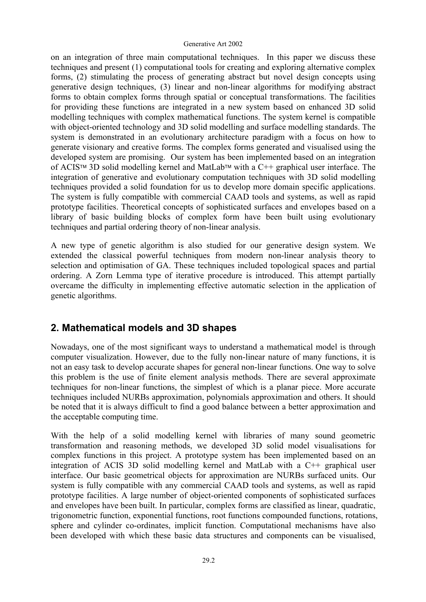on an integration of three main computational techniques. In this paper we discuss these techniques and present (1) computational tools for creating and exploring alternative complex forms, (2) stimulating the process of generating abstract but novel design concepts using generative design techniques, (3) linear and non-linear algorithms for modifying abstract forms to obtain complex forms through spatial or conceptual transformations. The facilities for providing these functions are integrated in a new system based on enhanced 3D solid modelling techniques with complex mathematical functions. The system kernel is compatible with object-oriented technology and 3D solid modelling and surface modelling standards. The system is demonstrated in an evolutionary architecture paradigm with a focus on how to generate visionary and creative forms. The complex forms generated and visualised using the developed system are promising. Our system has been implemented based on an integration of ACIS<sup>TM</sup> 3D solid modelling kernel and MatLab<sup>TM</sup> with a  $C++$  graphical user interface. The integration of generative and evolutionary computation techniques with 3D solid modelling techniques provided a solid foundation for us to develop more domain specific applications. The system is fully compatible with commercial CAAD tools and systems, as well as rapid prototype facilities. Theoretical concepts of sophisticated surfaces and envelopes based on a library of basic building blocks of complex form have been built using evolutionary techniques and partial ordering theory of non-linear analysis.

A new type of genetic algorithm is also studied for our generative design system. We extended the classical powerful techniques from modern non-linear analysis theory to selection and optimisation of GA. These techniques included topological spaces and partial ordering. A Zorn Lemma type of iterative procedure is introduced. This attempt partially overcame the difficulty in implementing effective automatic selection in the application of genetic algorithms.

# **2. Mathematical models and 3D shapes**

Nowadays, one of the most significant ways to understand a mathematical model is through computer visualization. However, due to the fully non-linear nature of many functions, it is not an easy task to develop accurate shapes for general non-linear functions. One way to solve this problem is the use of finite element analysis methods. There are several approximate techniques for non-linear functions, the simplest of which is a planar piece. More accurate techniques included NURBs approximation, polynomials approximation and others. It should be noted that it is always difficult to find a good balance between a better approximation and the acceptable computing time.

With the help of a solid modelling kernel with libraries of many sound geometric transformation and reasoning methods, we developed 3D solid model visualisations for complex functions in this project. A prototype system has been implemented based on an integration of ACIS 3D solid modelling kernel and MatLab with a C++ graphical user interface. Our basic geometrical objects for approximation are NURBs surfaced units. Our system is fully compatible with any commercial CAAD tools and systems, as well as rapid prototype facilities. A large number of object-oriented components of sophisticated surfaces and envelopes have been built. In particular, complex forms are classified as linear, quadratic, trigonometric function, exponential functions, root functions compounded functions, rotations, sphere and cylinder co-ordinates, implicit function. Computational mechanisms have also been developed with which these basic data structures and components can be visualised,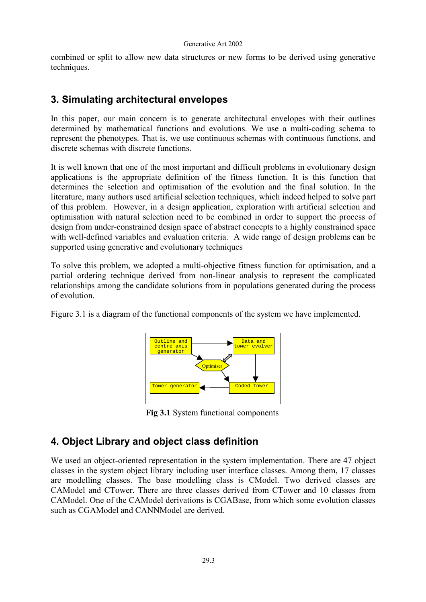combined or split to allow new data structures or new forms to be derived using generative techniques.

# **3. Simulating architectural envelopes**

In this paper, our main concern is to generate architectural envelopes with their outlines determined by mathematical functions and evolutions. We use a multi-coding schema to represent the phenotypes. That is, we use continuous schemas with continuous functions, and discrete schemas with discrete functions.

It is well known that one of the most important and difficult problems in evolutionary design applications is the appropriate definition of the fitness function. It is this function that determines the selection and optimisation of the evolution and the final solution. In the literature, many authors used artificial selection techniques, which indeed helped to solve part of this problem. However, in a design application, exploration with artificial selection and optimisation with natural selection need to be combined in order to support the process of design from under-constrained design space of abstract concepts to a highly constrained space with well-defined variables and evaluation criteria. A wide range of design problems can be supported using generative and evolutionary techniques

To solve this problem, we adopted a multi-objective fitness function for optimisation, and a partial ordering technique derived from non-linear analysis to represent the complicated relationships among the candidate solutions from in populations generated during the process of evolution.

Figure 3.1 is a diagram of the functional components of the system we have implemented.



**Fig 3.1** System functional components

# **4. Object Library and object class definition**

We used an object-oriented representation in the system implementation. There are 47 object classes in the system object library including user interface classes. Among them, 17 classes are modelling classes. The base modelling class is CModel. Two derived classes are CAModel and CTower. There are three classes derived from CTower and 10 classes from CAModel. One of the CAModel derivations is CGABase, from which some evolution classes such as CGAModel and CANNModel are derived.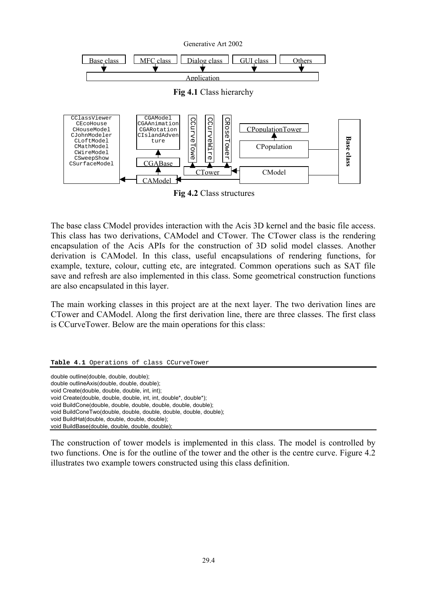

The base class CModel provides interaction with the Acis 3D kernel and the basic file access. This class has two derivations, CAModel and CTower. The CTower class is the rendering encapsulation of the Acis APIs for the construction of 3D solid model classes. Another derivation is CAModel. In this class, useful encapsulations of rendering functions, for example, texture, colour, cutting etc, are integrated. Common operations such as SAT file save and refresh are also implemented in this class. Some geometrical construction functions are also encapsulated in this layer.

The main working classes in this project are at the next layer. The two derivation lines are CTower and CAModel. Along the first derivation line, there are three classes. The first class is CCurveTower. Below are the main operations for this class:

|  |  |  |  |  | Table 4.1 Operations of class CCurveTower |
|--|--|--|--|--|-------------------------------------------|
|--|--|--|--|--|-------------------------------------------|

double outline(double, double, double); double outlineAxis(double, double, double); void Create(double, double, double, int, int); void Create(double, double, double, int, int, double\*, double\*); void BuildCone(double, double, double, double, double, double); void BuildConeTwo(double, double, double, double, double, double); void BuildHat(double, double, double, double); void BuildBase(double, double, double, double);

The construction of tower models is implemented in this class. The model is controlled by two functions. One is for the outline of the tower and the other is the centre curve. Figure 4.2 illustrates two example towers constructed using this class definition.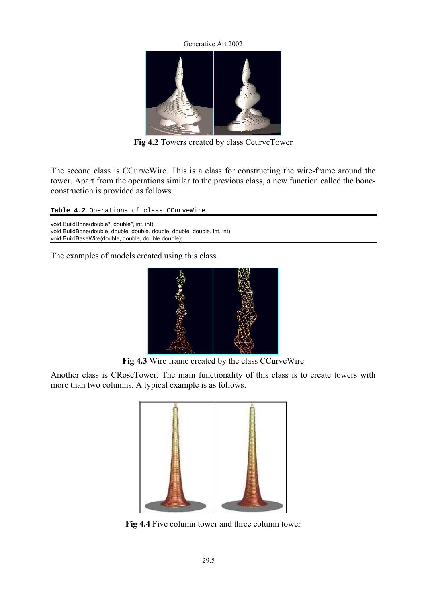

**Fig 4.2** Towers created by class CcurveTower

The second class is CCurveWire. This is a class for constructing the wire-frame around the tower. Apart from the operations similar to the previous class, a new function called the boneconstruction is provided as follows.

Table 4.2 Operations of class CCurveWire

void BuildBone(double\*, double\*, int, int); void BuildBone(double, double, double, double, double, double, int, int); void BuildBaseWire(double, double, double double);

The examples of models created using this class.



**Fig 4.3** Wire frame created by the class CCurveWire

Another class is CRoseTower. The main functionality of this class is to create towers with more than two columns. A typical example is as follows.



**Fig 4.4** Five column tower and three column tower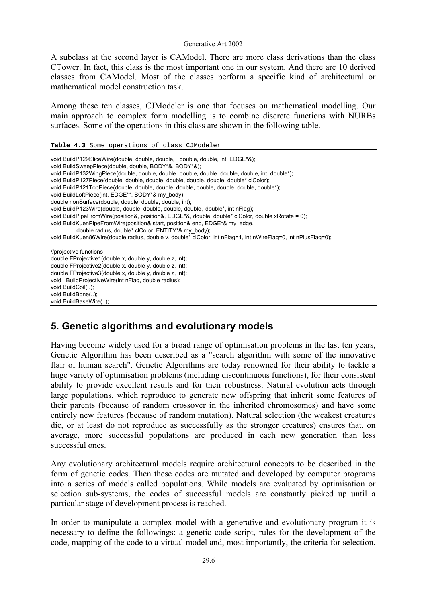A subclass at the second layer is CAModel. There are more class derivations than the class CTower. In fact, this class is the most important one in our system. And there are 10 derived classes from CAModel. Most of the classes perform a specific kind of architectural or mathematical model construction task.

Among these ten classes, CJModeler is one that focuses on mathematical modelling. Our main approach to complex form modelling is to combine discrete functions with NURBs surfaces. Some of the operations in this class are shown in the following table.

#### **Table 4.3** Some operations of class CJModeler

| void BuildP129SliceWire(double, double, double, double, double, int, EDGE*&);<br>void BuildSweepPiece(double, double, BODY*&, BODY*&);<br>void BuildP132WingPiece(double, double, double, double, double, double, double, int, double*);<br>void BuildP127Piece(double, double, double, double, double, double, double* clColor);<br>void BuildP121TopPiece(double, double, double, double, double, double, double, double*);<br>void BuildLoftPiece(int, EDGE**, BODY*& my body);<br>double nonSurface(double, double, double, double, int);<br>void BuildP123Wire(double, double, double, double, double, double*, int nFlag);<br>void BuildPipeFromWire(position&, position&, EDGE*&, double, double* clColor, double xRotate = 0);<br>void BuildKuenPipeFromWire(position& start, position& end, EDGE*& my edge,<br>double radius, double* clColor, ENTITY*& my body);<br>void BuildKuen86Wire(double radius, double v, double* clColor, int nFlag=1, int nWireFlag=0, int nPlusFlag=0); |
|----------------------------------------------------------------------------------------------------------------------------------------------------------------------------------------------------------------------------------------------------------------------------------------------------------------------------------------------------------------------------------------------------------------------------------------------------------------------------------------------------------------------------------------------------------------------------------------------------------------------------------------------------------------------------------------------------------------------------------------------------------------------------------------------------------------------------------------------------------------------------------------------------------------------------------------------------------------------------------------------|
| //projective functions<br>double FProjective1(double x, double y, double z, int);<br>double FProjective2(double x, double y, double z, int);<br>double FProjective3(double x, double y, double z, int);<br>void BuildProjectiveWire(int nFlag, double radius);<br>void BuildCoil();<br>void BuildBone();<br>void BuildBaseWire();                                                                                                                                                                                                                                                                                                                                                                                                                                                                                                                                                                                                                                                            |

# **5. Genetic algorithms and evolutionary models**

Having become widely used for a broad range of optimisation problems in the last ten years, Genetic Algorithm has been described as a "search algorithm with some of the innovative flair of human search". Genetic Algorithms are today renowned for their ability to tackle a huge variety of optimisation problems (including discontinuous functions), for their consistent ability to provide excellent results and for their robustness. Natural evolution acts through large populations, which reproduce to generate new offspring that inherit some features of their parents (because of random crossover in the inherited chromosomes) and have some entirely new features (because of random mutation). Natural selection (the weakest creatures die, or at least do not reproduce as successfully as the stronger creatures) ensures that, on average, more successful populations are produced in each new generation than less successful ones.

Any evolutionary architectural models require architectural concepts to be described in the form of genetic codes. Then these codes are mutated and developed by computer programs into a series of models called populations. While models are evaluated by optimisation or selection sub-systems, the codes of successful models are constantly picked up until a particular stage of development process is reached.

In order to manipulate a complex model with a generative and evolutionary program it is necessary to define the followings: a genetic code script, rules for the development of the code, mapping of the code to a virtual model and, most importantly, the criteria for selection.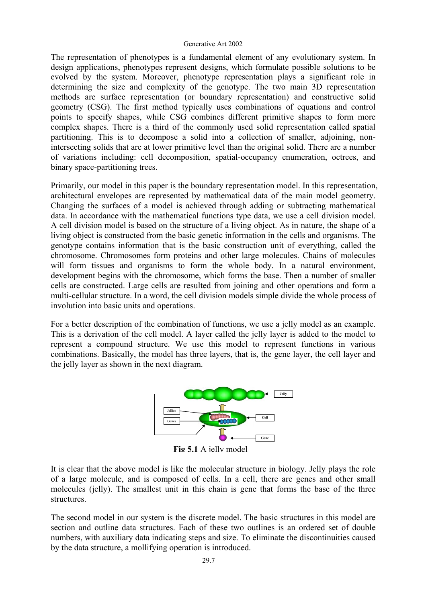The representation of phenotypes is a fundamental element of any evolutionary system. In design applications, phenotypes represent designs, which formulate possible solutions to be evolved by the system. Moreover, phenotype representation plays a significant role in determining the size and complexity of the genotype. The two main 3D representation methods are surface representation (or boundary representation) and constructive solid geometry (CSG). The first method typically uses combinations of equations and control points to specify shapes, while CSG combines different primitive shapes to form more complex shapes. There is a third of the commonly used solid representation called spatial partitioning. This is to decompose a solid into a collection of smaller, adjoining, nonintersecting solids that are at lower primitive level than the original solid. There are a number of variations including: cell decomposition, spatial-occupancy enumeration, octrees, and binary space-partitioning trees.

Primarily, our model in this paper is the boundary representation model. In this representation, architectural envelopes are represented by mathematical data of the main model geometry. Changing the surfaces of a model is achieved through adding or subtracting mathematical data. In accordance with the mathematical functions type data, we use a cell division model. A cell division model is based on the structure of a living object. As in nature, the shape of a living object is constructed from the basic genetic information in the cells and organisms. The genotype contains information that is the basic construction unit of everything, called the chromosome. Chromosomes form proteins and other large molecules. Chains of molecules will form tissues and organisms to form the whole body. In a natural environment, development begins with the chromosome, which forms the base. Then a number of smaller cells are constructed. Large cells are resulted from joining and other operations and form a multi-cellular structure. In a word, the cell division models simple divide the whole process of involution into basic units and operations.

For a better description of the combination of functions, we use a jelly model as an example. This is a derivation of the cell model. A layer called the jelly layer is added to the model to represent a compound structure. We use this model to represent functions in various combinations. Basically, the model has three layers, that is, the gene layer, the cell layer and the jelly layer as shown in the next diagram.



**Fig 5.1** A jelly model

It is clear that the above model is like the molecular structure in biology. Jelly plays the role of a large molecule, and is composed of cells. In a cell, there are genes and other small molecules (jelly). The smallest unit in this chain is gene that forms the base of the three structures.

The second model in our system is the discrete model. The basic structures in this model are section and outline data structures. Each of these two outlines is an ordered set of double numbers, with auxiliary data indicating steps and size. To eliminate the discontinuities caused by the data structure, a mollifying operation is introduced.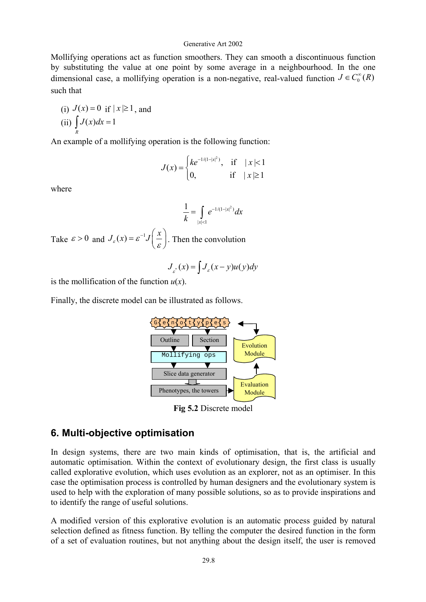Mollifying operations act as function smoothers. They can smooth a discontinuous function by substituting the value at one point by some average in a neighbourhood. In the one dimensional case, a mollifying operation is a non-negative, real-valued function  $J \in C_0^{\infty}(R)$ such that

(i) 
$$
J(x) = 0
$$
 if  $|x| \ge 1$ , and  
(ii)  $\int_{R} J(x) dx = 1$ 

An example of a mollifying operation is the following function:

$$
J(x) = \begin{cases} ke^{-1/(1-|x|^2)}, & \text{if } |x| < 1\\ 0, & \text{if } |x| \ge 1 \end{cases}
$$

where

$$
\frac{1}{k} = \int_{|x| < 1} e^{-1/(1-|x|^2)} dx
$$

Take  $\varepsilon > 0$  and  $J_{\varepsilon}(x) = \varepsilon^{-1} J\left(\frac{x}{\varepsilon}\right)$ . Then the convolution

$$
J_{\varepsilon}(x) = \int J_{\varepsilon}(x - y)u(y)dy
$$

is the mollification of the function  $u(x)$ .

Finally, the discrete model can be illustrated as follows.



**Fig 5.2** Discrete model

### **6. Multi-objective optimisation**

In design systems, there are two main kinds of optimisation, that is, the artificial and automatic optimisation. Within the context of evolutionary design, the first class is usually called explorative evolution, which uses evolution as an explorer, not as an optimiser. In this case the optimisation process is controlled by human designers and the evolutionary system is used to help with the exploration of many possible solutions, so as to provide inspirations and to identify the range of useful solutions.

A modified version of this explorative evolution is an automatic process guided by natural selection defined as fitness function. By telling the computer the desired function in the form of a set of evaluation routines, but not anything about the design itself, the user is removed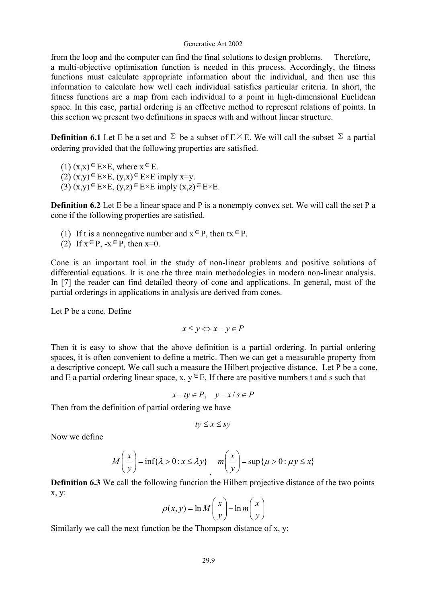from the loop and the computer can find the final solutions to design problems. Therefore, a multi-objective optimisation function is needed in this process. Accordingly, the fitness functions must calculate appropriate information about the individual, and then use this information to calculate how well each individual satisfies particular criteria. In short, the fitness functions are a map from each individual to a point in high-dimensional Euclidean space. In this case, partial ordering is an effective method to represent relations of points. In this section we present two definitions in spaces with and without linear structure.

**Definition 6.1** Let E be a set and  $\Sigma$  be a subset of  $E \times E$ . We will call the subset  $\Sigma$  a partial ordering provided that the following properties are satisfied.

- $(1)$   $(x,x) \in E \times E$ , where  $x \in E$ .
- $(2)$   $(x,y) \in E \times E$ ,  $(y,x) \in E \times E$  imply x=y.
- (3)  $(x,y) \in E \times E$ ,  $(y,z) \in E \times E$  imply  $(x,z) \in E \times E$ .

**Definition 6.2** Let E be a linear space and P is a nonempty convex set. We will call the set P a cone if the following properties are satisfied.

- (1) If t is a nonnegative number and  $x \in P$ , then  $tx \in P$ .
- (2) If  $x \in P$ ,  $-x \in P$ , then  $x=0$ .

Cone is an important tool in the study of non-linear problems and positive solutions of differential equations. It is one the three main methodologies in modern non-linear analysis. In [7] the reader can find detailed theory of cone and applications. In general, most of the partial orderings in applications in analysis are derived from cones.

Let P be a cone. Define.

 $x \leq v \Leftrightarrow x - v \in P$ 

Then it is easy to show that the above definition is a partial ordering. In partial ordering spaces, it is often convenient to define a metric. Then we can get a measurable property from a descriptive concept. We call such a measure the Hilbert projective distance. Let P be a cone, and E a partial ordering linear space, x,  $y \in E$ . If there are positive numbers t and s such that

 $x - ty \in P$ ,  $y - x / s \in P$ 

Then from the definition of partial ordering we have

$$
ty \le x \le sy
$$

Now we define

$$
M\left(\frac{x}{y}\right) = \inf\{\lambda > 0 : x \le \lambda y\} \qquad m\left(\frac{x}{y}\right) = \sup\{\mu > 0 : \mu y \le x\}
$$

**Definition 6.3** We call the following function the Hilbert projective distance of the two points x, y:

$$
\rho(x, y) = \ln M \left( \frac{x}{y} \right) - \ln m \left( \frac{x}{y} \right)
$$

Similarly we call the next function be the Thompson distance of x, y: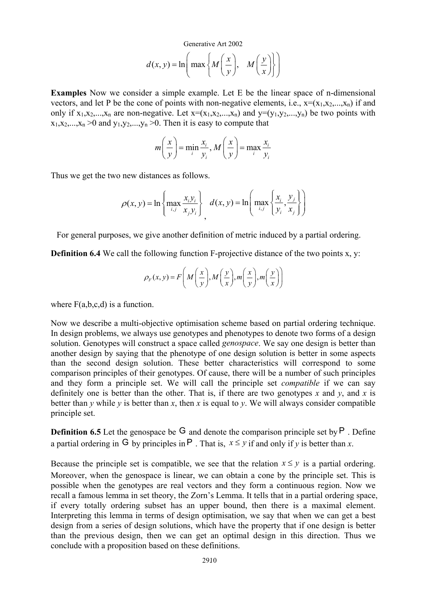$$
d(x, y) = \ln\left(\max\left\{M\left(\frac{x}{y}\right), M\left(\frac{y}{x}\right)\right\}\right)
$$

**Examples** Now we consider a simple example. Let E be the linear space of n-dimensional vectors, and let P be the cone of points with non-negative elements, i.e.,  $x=(x_1,x_2,...,x_n)$  if and only if  $x_1, x_2,...,x_n$  are non-negative. Let  $x=(x_1, x_2,...,x_n)$  and  $y=(y_1, y_2,...,y_n)$  be two points with  $x_1, x_2, \ldots, x_n > 0$  and  $y_1, y_2, \ldots, y_n > 0$ . Then it is easy to compute that

$$
m\left(\frac{x}{y}\right) = \min_{i} \frac{x_i}{y_i}, M\left(\frac{x}{y}\right) = \max_{i} \frac{x_i}{y_i}
$$

Thus we get the two new distances as follows.

$$
\rho(x, y) = \ln \left\{ \max_{i, j} \frac{x_i y_i}{x_j y_i} \right\}, \quad d(x, y) = \ln \left( \max_{i, j} \left\{ \frac{x_i}{y_i}, \frac{y_j}{x_j} \right\} \right)
$$

For general purposes, we give another definition of metric induced by a partial ordering.

**Definition 6.4** We call the following function F-projective distance of the two points x, y:

$$
\rho_F(x, y) = F\left(M\left(\frac{x}{y}\right), M\left(\frac{y}{x}\right), m\left(\frac{x}{y}\right), m\left(\frac{y}{x}\right)\right)
$$

where  $F(a,b,c,d)$  is a function.

Now we describe a multi-objective optimisation scheme based on partial ordering technique. In design problems, we always use genotypes and phenotypes to denote two forms of a design solution. Genotypes will construct a space called *genospace*. We say one design is better than another design by saying that the phenotype of one design solution is better in some aspects than the second design solution. These better characteristics will correspond to some comparison principles of their genotypes. Of cause, there will be a number of such principles and they form a principle set. We will call the principle set *compatible* if we can say definitely one is better than the other. That is, if there are two genotypes  $x$  and  $y$ , and  $x$  is better than *y* while *y* is better than *x*, then *x* is equal to *y*. We will always consider compatible principle set.

**Definition 6.5** Let the genospace be  $G$  and denote the comparison principle set by  $P$ . Define a partial ordering in G by principles in P. That is,  $x \leq y$  if and only if y is better than x.

Because the principle set is compatible, we see that the relation  $x \leq y$  is a partial ordering. Moreover, when the genospace is linear, we can obtain a cone by the principle set. This is possible when the genotypes are real vectors and they form a continuous region. Now we recall a famous lemma in set theory, the Zorn's Lemma. It tells that in a partial ordering space, if every totally ordering subset has an upper bound, then there is a maximal element. Interpreting this lemma in terms of design optimisation, we say that when we can get a best design from a series of design solutions, which have the property that if one design is better than the previous design, then we can get an optimal design in this direction. Thus we conclude with a proposition based on these definitions.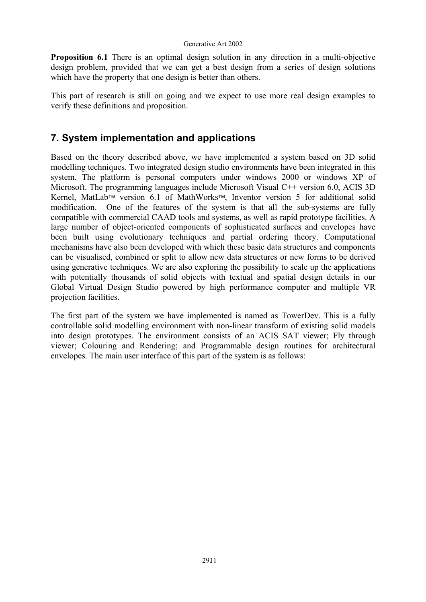**Proposition 6.1** There is an optimal design solution in any direction in a multi-objective design problem, provided that we can get a best design from a series of design solutions which have the property that one design is better than others.

This part of research is still on going and we expect to use more real design examples to verify these definitions and proposition.

## **7. System implementation and applications**

Based on the theory described above, we have implemented a system based on 3D solid modelling techniques. Two integrated design studio environments have been integrated in this system. The platform is personal computers under windows 2000 or windows XP of Microsoft. The programming languages include Microsoft Visual C++ version 6.0, ACIS 3D Kernel, MatLab<sup>™</sup> version 6.1 of MathWorks™, Inventor version 5 for additional solid modification. One of the features of the system is that all the sub-systems are fully compatible with commercial CAAD tools and systems, as well as rapid prototype facilities. A large number of object-oriented components of sophisticated surfaces and envelopes have been built using evolutionary techniques and partial ordering theory. Computational mechanisms have also been developed with which these basic data structures and components can be visualised, combined or split to allow new data structures or new forms to be derived using generative techniques. We are also exploring the possibility to scale up the applications with potentially thousands of solid objects with textual and spatial design details in our Global Virtual Design Studio powered by high performance computer and multiple VR projection facilities.

The first part of the system we have implemented is named as TowerDev. This is a fully controllable solid modelling environment with non-linear transform of existing solid models into design prototypes. The environment consists of an ACIS SAT viewer; Fly through viewer; Colouring and Rendering; and Programmable design routines for architectural envelopes. The main user interface of this part of the system is as follows: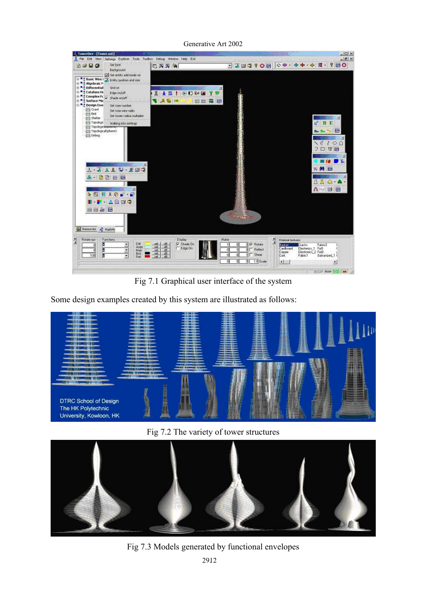

Generative Art 2002

Fig 7.1 Graphical user interface of the system

Some design examples created by this system are illustrated as follows:



Fig 7.2 The variety of tower structures



Fig 7.3 Models generated by functional envelopes